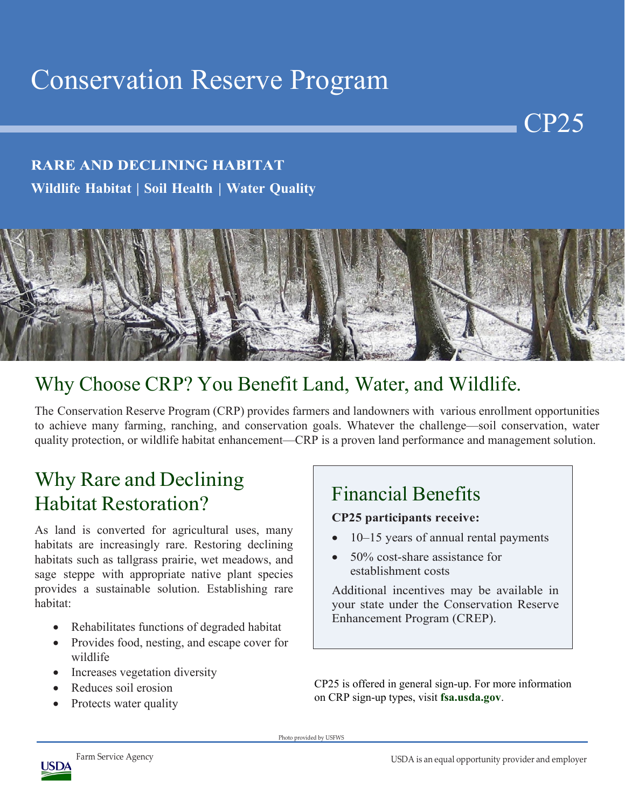# Conservation Reserve Program

#### **RARE AND DECLINING HABITAT Wildlife Habitat | Soil Health | Water Quality**



# Why Choose CRP? You Benefit Land, Water, and Wildlife.

The Conservation Reserve Program (CRP) provides farmers and landowners with various enrollment opportunities to achieve many farming, ranching, and conservation goals. Whatever the challenge—soil conservation, water quality protection, or wildlife habitat enhancement—CRP is a proven land performance and management solution.

# Why Rare and Declining Habitat Restoration?

As land is converted for agricultural uses, many habitats are increasingly rare. Restoring declining habitats such as tallgrass prairie, wet meadows, and sage steppe with appropriate native plant species provides a sustainable solution. Establishing rare habitat:

- Rehabilitates functions of degraded habitat
- Provides food, nesting, and escape cover for wildlife
- Increases vegetation diversity
- Reduces soil erosion
- Protects water quality

## Financial Benefits

#### **CP25 participants receive:**

- 10–15 years of annual rental payments
- 50% cost-share assistance for establishment costs

Additional incentives may be available in your state under the Conservation Reserve Enhancement Program (CREP).

CP25 is offered in general sign-up. For more information on CRP sign-up types, visit **fsa.usda.gov**.

Photo provided by USFWS



CP25